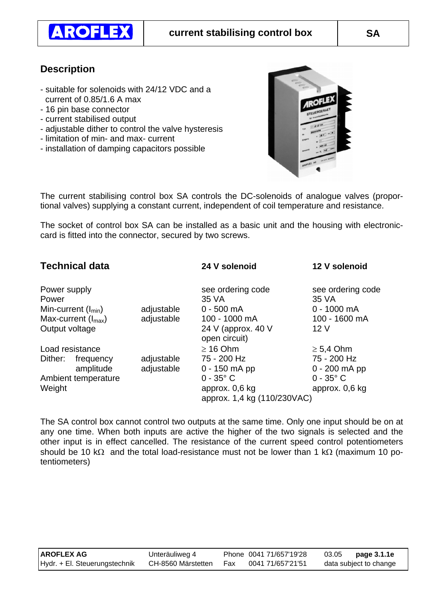

## **Description**

- suitable for solenoids with 24/12 VDC and a current of 0.85/1.6 A max
- 16 pin base connector
- current stabilised output
- adjustable dither to control the valve hysteresis
- limitation of min- and max- current
- installation of damping capacitors possible



The current stabilising control box SA controls the DC-solenoids of analogue valves (proportional valves) supplying a constant current, independent of coil temperature and resistance.

The socket of control box SA can be installed as a basic unit and the housing with electroniccard is fitted into the connector, secured by two screws.

| <b>Technical data</b> |                         |                    | 24 V solenoid                                 | 12 V solenoid              |
|-----------------------|-------------------------|--------------------|-----------------------------------------------|----------------------------|
| Power supply<br>Power |                         |                    | see ordering code<br>35 VA                    | see ordering code<br>35 VA |
|                       | Min-current $(I_{min})$ | adjustable         | $0 - 500$ mA                                  | $0 - 1000$ mA              |
|                       | Max-current $(I_{max})$ | adjustable         | 100 - 1000 mA                                 | 100 - 1600 mA              |
| Output voltage        |                         |                    | 24 V (approx. 40 V<br>open circuit)           | 12 <sub>V</sub>            |
|                       | Load resistance         |                    | $\geq$ 16 Ohm                                 | $\geq 5.4$ Ohm             |
| Dither:               | frequency               | adjustable         | 75 - 200 Hz                                   | 75 - 200 Hz                |
|                       | amplitude               | adjustable         | $0 - 150$ mA pp                               | $0 - 200$ mA pp            |
| Ambient temperature   |                         | $0 - 35^{\circ}$ C | $0 - 35^{\circ}$ C                            |                            |
| Weight                |                         |                    | approx. 0,6 kg<br>approx. 1,4 kg (110/230VAC) | approx. 0,6 kg             |

The SA control box cannot control two outputs at the same time. Only one input should be on at any one time. When both inputs are active the higher of the two signals is selected and the other input is in effect cancelled. The resistance of the current speed control potentiometers should be 10 k $\Omega$  and the total load-resistance must not be lower than 1 k $\Omega$  (maximum 10 potentiometers)

| <b>AROFLEX AG</b>             | Unteräuliweg 4     |       | Phone 0041 71/657'19'28 | 03.05                  | page 3.1.1e |
|-------------------------------|--------------------|-------|-------------------------|------------------------|-------------|
| Hydr. + El. Steuerungstechnik | CH-8560 Märstetten | - Fax | 0041 71/657'21'51       | data subject to change |             |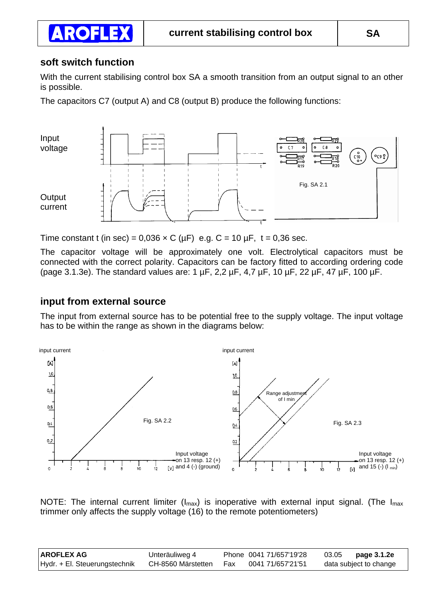### **soft switch function**

**AROFLEX** 

With the current stabilising control box SA a smooth transition from an output signal to an other is possible.

The capacitors C7 (output A) and C8 (output B) produce the following functions:



Time constant t (in sec) =  $0.036 \times C$  ( $\mu$ F) e.g. C = 10  $\mu$ F, t = 0.36 sec.

The capacitor voltage will be approximately one volt. Electrolytical capacitors must be connected with the correct polarity. Capacitors can be factory fitted to according ordering code (page 3.1.3e). The standard values are: 1 µF, 2,2 µF, 4,7 µF, 10 µF, 22 µF, 47 µF, 100 µF.

#### **input from external source**

The input from external source has to be potential free to the supply voltage. The input voltage has to be within the range as shown in the diagrams below:



NOTE: The internal current limiter ( $I_{max}$ ) is inoperative with external input signal. (The  $I_{max}$ ) trimmer only affects the supply voltage (16) to the remote potentiometers)

| ∣AROFLEX AG                   | Unteräuliweg 4     |     | Phone 0041 71/657'19'28 | 03.05 | page 3.1.2e            |
|-------------------------------|--------------------|-----|-------------------------|-------|------------------------|
| Hydr. + El. Steuerungstechnik | CH-8560 Märstetten | Fax | 0041 71/657'21'51       |       | data subject to change |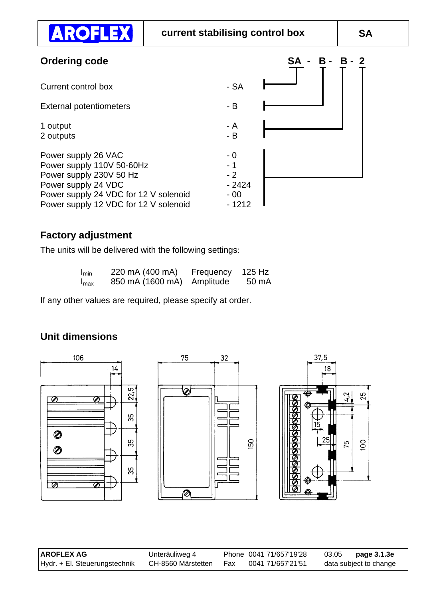| <b>Ordering code</b>                                                                                                                                                                 |                                            | - B - B<br><b>SA</b><br>$\mathbf{2}$ |
|--------------------------------------------------------------------------------------------------------------------------------------------------------------------------------------|--------------------------------------------|--------------------------------------|
| Current control box                                                                                                                                                                  | $-SA$                                      |                                      |
| <b>External potentiometers</b>                                                                                                                                                       | $-B$                                       |                                      |
| 1 output<br>2 outputs                                                                                                                                                                | - A<br>$-B$                                |                                      |
| Power supply 26 VAC<br>Power supply 110V 50-60Hz<br>Power supply 230V 50 Hz<br>Power supply 24 VDC<br>Power supply 24 VDC for 12 V solenoid<br>Power supply 12 VDC for 12 V solenoid | $-0$<br>$-2$<br>$-2424$<br>$-00$<br>- 1212 |                                      |

# **Factory adjustment**

**AROFLEX** 

The units will be delivered with the following settings:

| I <sub>min</sub> | 220 mA (400 mA)            | Frequency 125 Hz |       |
|------------------|----------------------------|------------------|-------|
| $I_{\text{max}}$ | 850 mA (1600 mA) Amplitude |                  | 50 mA |

If any other values are required, please specify at order.

# **Unit dimensions**



| <b>AROFLEX AG</b>             | Unteräuliweg 4     |       | Phone 0041 71/657'19'28 | 03.05 | page 3.1.3e            |
|-------------------------------|--------------------|-------|-------------------------|-------|------------------------|
| Hydr. + El. Steuerungstechnik | CH-8560 Märstetten | - Fax | 0041 71/657'21'51       |       | data subject to change |